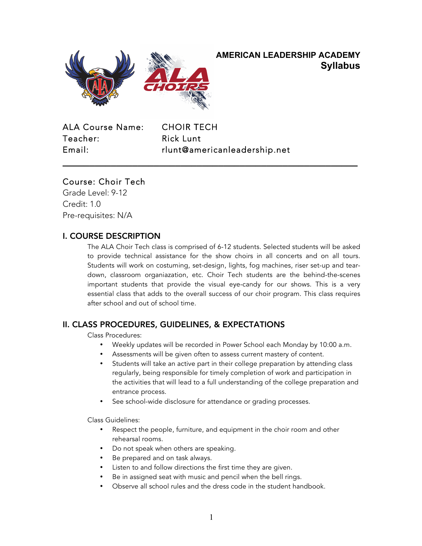

# **AMERICAN LEADERSHIP ACADEMY Syllabus**

ALA Course Name: CHOIR TECH Teacher: Rick Lunt

Email: rlunt@americanleadership.net

**\_\_\_\_\_\_\_\_\_\_\_\_\_\_\_\_\_\_\_\_\_\_\_\_\_\_\_\_\_\_\_\_\_\_\_\_\_\_\_\_\_\_\_\_\_\_\_\_\_\_\_\_\_\_\_**

# Course: Choir Tech

Grade Level: 9-12 Credit: 1.0 Pre-requisites: N/A

# I. COURSE DESCRIPTION

The ALA Choir Tech class is comprised of 6-12 students. Selected students will be asked to provide technical assistance for the show choirs in all concerts and on all tours. Students will work on costuming, set-design, lights, fog machines, riser set-up and teardown, classroom organiazation, etc. Choir Tech students are the behind-the-scenes important students that provide the visual eye-candy for our shows. This is a very essential class that adds to the overall success of our choir program. This class requires after school and out of school time.

# II. CLASS PROCEDURES, GUIDELINES, & EXPECTATIONS

Class Procedures:

- Weekly updates will be recorded in Power School each Monday by 10:00 a.m.
- Assessments will be given often to assess current mastery of content.
- Students will take an active part in their college preparation by attending class regularly, being responsible for timely completion of work and participation in the activities that will lead to a full understanding of the college preparation and entrance process.
- See school-wide disclosure for attendance or grading processes.

Class Guidelines:

- Respect the people, furniture, and equipment in the choir room and other rehearsal rooms.
- Do not speak when others are speaking.
- Be prepared and on task always.
- Listen to and follow directions the first time they are given.
- Be in assigned seat with music and pencil when the bell rings.
- Observe all school rules and the dress code in the student handbook.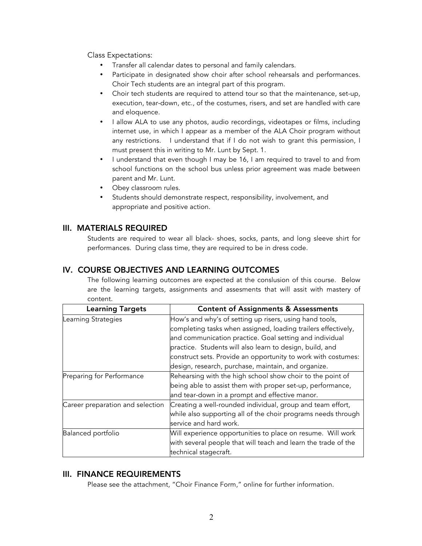Class Expectations:

- Transfer all calendar dates to personal and family calendars.
- Participate in designated show choir after school rehearsals and performances. Choir Tech students are an integral part of this program.
- Choir tech students are required to attend tour so that the maintenance, set-up, execution, tear-down, etc., of the costumes, risers, and set are handled with care and eloquence.
- I allow ALA to use any photos, audio recordings, videotapes or films, including internet use, in which I appear as a member of the ALA Choir program without any restrictions. I understand that if I do not wish to grant this permission, I must present this in writing to Mr. Lunt by Sept. 1.
- I understand that even though I may be 16, I am required to travel to and from school functions on the school bus unless prior agreement was made between parent and Mr. Lunt.
- Obey classroom rules.
- Students should demonstrate respect, responsibility, involvement, and appropriate and positive action.

#### III. MATERIALS REQUIRED

Students are required to wear all black- shoes, socks, pants, and long sleeve shirt for performances. During class time, they are required to be in dress code.

### IV. COURSE OBJECTIVES AND LEARNING OUTCOMES

The following learning outcomes are expected at the conslusion of this course. Below are the learning targets, assignments and assesments that will assit with mastery of content.

| <b>Learning Targets</b>          | <b>Content of Assignments &amp; Assessments</b>                |  |
|----------------------------------|----------------------------------------------------------------|--|
| Learning Strategies              | How's and why's of setting up risers, using hand tools,        |  |
|                                  | completing tasks when assigned, loading trailers effectively,  |  |
|                                  | and communication practice. Goal setting and individual        |  |
|                                  | practice. Students will also learn to design, build, and       |  |
|                                  | construct sets. Provide an opportunity to work with costumes:  |  |
|                                  | design, research, purchase, maintain, and organize.            |  |
| Preparing for Performance        | Rehearsing with the high school show choir to the point of     |  |
|                                  | being able to assist them with proper set-up, performance,     |  |
|                                  | and tear-down in a prompt and effective manor.                 |  |
| Career preparation and selection | Creating a well-rounded individual, group and team effort,     |  |
|                                  | while also supporting all of the choir programs needs through  |  |
|                                  | service and hard work.                                         |  |
| Balanced portfolio               | Will experience opportunities to place on resume. Will work    |  |
|                                  | with several people that will teach and learn the trade of the |  |
|                                  | technical stagecraft.                                          |  |

#### III. FINANCE REQUIREMENTS

Please see the attachment, "Choir Finance Form," online for further information.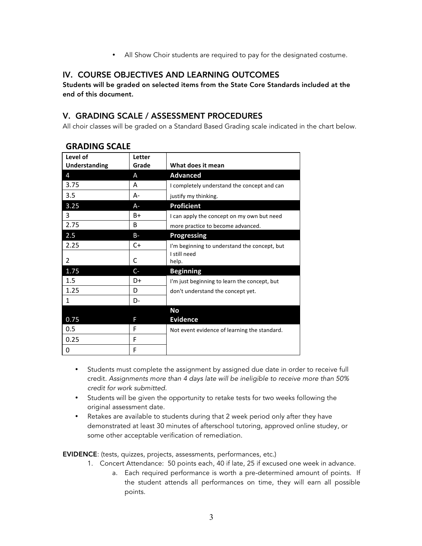• All Show Choir students are required to pay for the designated costume.

## IV. COURSE OBJECTIVES AND LEARNING OUTCOMES

Students will be graded on selected items from the State Core Standards included at the end of this document.

## V. GRADING SCALE / ASSESSMENT PROCEDURES

All choir classes will be graded on a Standard Based Grading scale indicated in the chart below.

| Level of<br><b>Understanding</b> | Letter<br>Grade | What does it mean                            |
|----------------------------------|-----------------|----------------------------------------------|
| 4                                | A               | <b>Advanced</b>                              |
| 3.75                             | A               | I completely understand the concept and can  |
| 3.5                              | A-              | justify my thinking.                         |
| 3.25                             | A-              | <b>Proficient</b>                            |
| 3                                | $B+$            | I can apply the concept on my own but need   |
| 2.75                             | B               | more practice to become advanced.            |
| 2.5                              | $B -$           | Progressing                                  |
| 2.25                             | $C+$            | I'm beginning to understand the concept, but |
| $\overline{2}$                   | C               | I still need<br>help.                        |
| 1.75                             | $C-$            | <b>Beginning</b>                             |
| 1.5                              | $D+$            | I'm just beginning to learn the concept, but |
| 1.25                             | D               | don't understand the concept yet.            |
| 1                                | D-              |                                              |
|                                  |                 | No                                           |
| 0.75                             | F               | <b>Evidence</b>                              |
| 0.5                              | F               | Not event evidence of learning the standard. |
| 0.25                             | F               |                                              |
| 0                                | F               |                                              |

### **GRADING SCALE**

- Students must complete the assignment by assigned due date in order to receive full credit. *Assignments more than 4 days late will be ineligible to receive more than 50% credit for work submitted.*
- Students will be given the opportunity to retake tests for two weeks following the original assessment date.
- Retakes are available to students during that 2 week period only after they have demonstrated at least 30 minutes of afterschool tutoring, approved online studey, or some other acceptable verification of remediation.

EVIDENCE: (tests, quizzes, projects, assessments, performances, etc.)

- 1. Concert Attendance: 50 points each, 40 if late, 25 if excused one week in advance.
	- a. Each required performance is worth a pre-determined amount of points. If the student attends all performances on time, they will earn all possible points.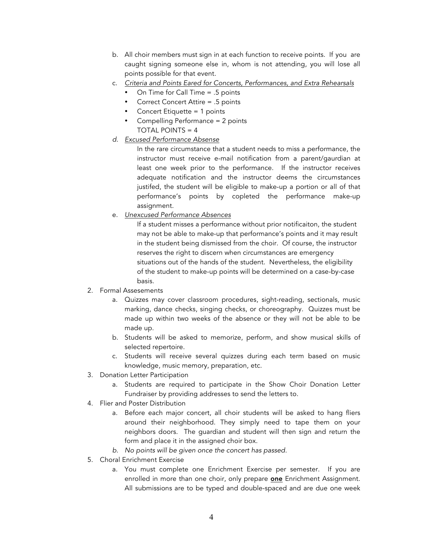- b. All choir members must sign in at each function to receive points. If you are caught signing someone else in, whom is not attending, you will lose all points possible for that event.
- c. *Criteria and Points Eared for Concerts, Performances, and Extra Rehearsals*
	- On Time for Call Time = .5 points
	- Correct Concert Attire = .5 points
	- Concert Etiquette = 1 points
	- Compelling Performance = 2 points TOTAL POINTS = 4
- *d. Excused Performance Absense*

In the rare circumstance that a student needs to miss a performance, the instructor must receive e-mail notification from a parent/gaurdian at least one week prior to the performance. If the instructor receives adequate notification and the instructor deems the circumstances justifed, the student will be eligible to make-up a portion or all of that performance's points by copleted the performance make-up assignment.

e. *Unexcused Performance Absences*

If a student misses a performance without prior notificaiton, the student may not be able to make-up that performance's points and it may result in the student being dismissed from the choir. Of course, the instructor reserves the right to discern when circumstances are emergency situations out of the hands of the student. Nevertheless, the eligibility of the student to make-up points will be determined on a case-by-case basis.

- 2. Formal Assesements
	- a. Quizzes may cover classroom procedures, sight-reading, sectionals, music marking, dance checks, singing checks, or choreography. Quizzes must be made up within two weeks of the absence or they will not be able to be made up.
	- b. Students will be asked to memorize, perform, and show musical skills of selected repertoire.
	- c. Students will receive several quizzes during each term based on music knowledge, music memory, preparation, etc.
- 3. Donation Letter Participation
	- a. Students are required to participate in the Show Choir Donation Letter Fundraiser by providing addresses to send the letters to.
- 4. Flier and Poster Distribution
	- a. Before each major concert, all choir students will be asked to hang fliers around their neighborhood. They simply need to tape them on your neighbors doors. The guardian and student will then sign and return the form and place it in the assigned choir box.
	- *b. No points will be given once the concert has passed.*
- 5. Choral Enrichment Exercise
	- a. You must complete one Enrichment Exercise per semester. If you are enrolled in more than one choir, only prepare **one** Enrichment Assignment. All submissions are to be typed and double-spaced and are due one week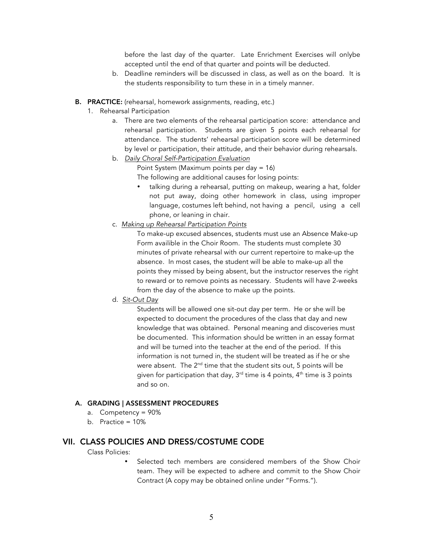before the last day of the quarter. Late Enrichment Exercises will onlybe accepted until the end of that quarter and points will be deducted.

- b. Deadline reminders will be discussed in class, as well as on the board. It is the students responsibility to turn these in in a timely manner.
- B. PRACTICE: (rehearsal, homework assignments, reading, etc.)
	- 1. Rehearsal Participation
		- a. There are two elements of the rehearsal participation score: attendance and rehearsal participation. Students are given 5 points each rehearsal for attendance. The students' rehearsal participation score will be determined by level or participation, their attitude, and their behavior during rehearsals.
		- b. *Daily Choral Self-Participation Evaluation*

Point System (Maximum points per day = 16)

The following are additional causes for losing points:

- talking during a rehearsal, putting on makeup, wearing a hat, folder not put away, doing other homework in class, using improper language, costumes left behind, not having a pencil, using a cell phone, or leaning in chair.
- c. *Making up Rehearsal Participation Points*

To make-up excused absences, students must use an Absence Make-up Form availible in the Choir Room. The students must complete 30 minutes of private rehearsal with our current repertoire to make-up the absence. In most cases, the student will be able to make-up all the points they missed by being absent, but the instructor reserves the right to reward or to remove points as necessary. Students will have 2-weeks from the day of the absence to make up the points.

d. *Sit-Out Day*

Students will be allowed one sit-out day per term. He or she will be expected to document the procedures of the class that day and new knowledge that was obtained. Personal meaning and discoveries must be documented. This information should be written in an essay format and will be turned into the teacher at the end of the period. If this information is not turned in, the student will be treated as if he or she were absent. The  $2^{nd}$  time that the student sits out, 5 points will be given for participation that day,  $3^{rd}$  time is 4 points,  $4^{th}$  time is 3 points and so on.

#### A. GRADING | ASSESSMENT PROCEDURES

- a. Competency = 90%
- b. Practice = 10%

#### VII. CLASS POLICIES AND DRESS/COSTUME CODE

Class Policies:

• Selected tech members are considered members of the Show Choir team. They will be expected to adhere and commit to the Show Choir Contract (A copy may be obtained online under "Forms.").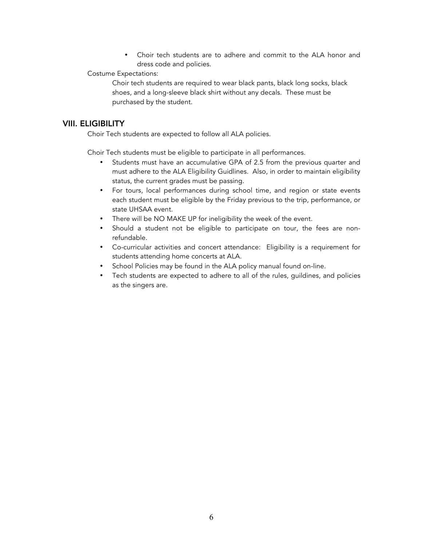• Choir tech students are to adhere and commit to the ALA honor and dress code and policies.

#### Costume Expectations:

Choir tech students are required to wear black pants, black long socks, black shoes, and a long-sleeve black shirt without any decals. These must be purchased by the student.

#### VIII. ELIGIBILITY

Choir Tech students are expected to follow all ALA policies.

Choir Tech students must be eligible to participate in all performances.

- Students must have an accumulative GPA of 2.5 from the previous quarter and must adhere to the ALA Eligibility Guidlines. Also, in order to maintain eligibility status, the current grades must be passing.
- For tours, local performances during school time, and region or state events each student must be eligible by the Friday previous to the trip, performance, or state UHSAA event.
- There will be NO MAKE UP for ineligibility the week of the event.
- Should a student not be eligible to participate on tour, the fees are nonrefundable.
- Co-curricular activities and concert attendance: Eligibility is a requirement for students attending home concerts at ALA.
- School Policies may be found in the ALA policy manual found on-line.
- Tech students are expected to adhere to all of the rules, guildines, and policies as the singers are.